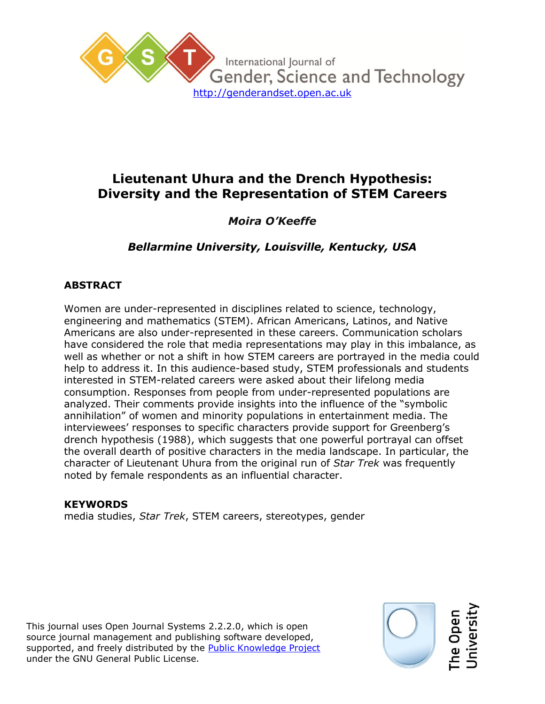

# **Lieutenant Uhura and the Drench Hypothesis: Diversity and the Representation of STEM Careers**

## *Moira O'Keeffe*

*Bellarmine University, Louisville, Kentucky, USA*

## **ABSTRACT**

Women are under-represented in disciplines related to science, technology, engineering and mathematics (STEM). African Americans, Latinos, and Native Americans are also under-represented in these careers. Communication scholars have considered the role that media representations may play in this imbalance, as well as whether or not a shift in how STEM careers are portrayed in the media could help to address it. In this audience-based study, STEM professionals and students interested in STEM-related careers were asked about their lifelong media consumption. Responses from people from under-represented populations are analyzed. Their comments provide insights into the influence of the "symbolic annihilation" of women and minority populations in entertainment media. The interviewees' responses to specific characters provide support for Greenberg's drench hypothesis (1988), which suggests that one powerful portrayal can offset the overall dearth of positive characters in the media landscape. In particular, the character of Lieutenant Uhura from the original run of *Star Trek* was frequently noted by female respondents as an influential character.

#### **KEYWORDS**

media studies, *Star Trek*, STEM careers, stereotypes, gender

This journal uses Open Journal Systems 2.2.2.0, which is open source journal management and publishing software developed, supported, and freely distributed by the Public Knowledge Project under the GNU General Public License.

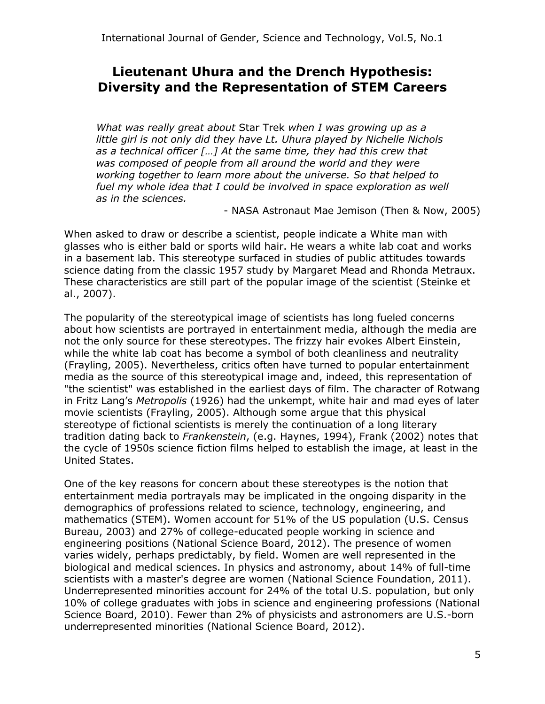## **Lieutenant Uhura and the Drench Hypothesis: Diversity and the Representation of STEM Careers**

*What was really great about* Star Trek *when I was growing up as a little girl is not only did they have Lt. Uhura played by Nichelle Nichols as a technical officer […] At the same time, they had this crew that was composed of people from all around the world and they were working together to learn more about the universe. So that helped to*  fuel my whole idea that I could be involved in space exploration as well *as in the sciences.* 

- NASA Astronaut Mae Jemison (Then & Now, 2005)

When asked to draw or describe a scientist, people indicate a White man with glasses who is either bald or sports wild hair. He wears a white lab coat and works in a basement lab. This stereotype surfaced in studies of public attitudes towards science dating from the classic 1957 study by Margaret Mead and Rhonda Metraux. These characteristics are still part of the popular image of the scientist (Steinke et al., 2007).

The popularity of the stereotypical image of scientists has long fueled concerns about how scientists are portrayed in entertainment media, although the media are not the only source for these stereotypes. The frizzy hair evokes Albert Einstein, while the white lab coat has become a symbol of both cleanliness and neutrality (Frayling, 2005). Nevertheless, critics often have turned to popular entertainment media as the source of this stereotypical image and, indeed, this representation of "the scientist" was established in the earliest days of film. The character of Rotwang in Fritz Lang's *Metropolis* (1926) had the unkempt, white hair and mad eyes of later movie scientists (Frayling, 2005). Although some argue that this physical stereotype of fictional scientists is merely the continuation of a long literary tradition dating back to *Frankenstein*, (e.g. Haynes, 1994), Frank (2002) notes that the cycle of 1950s science fiction films helped to establish the image, at least in the United States.

One of the key reasons for concern about these stereotypes is the notion that entertainment media portrayals may be implicated in the ongoing disparity in the demographics of professions related to science, technology, engineering, and mathematics (STEM). Women account for 51% of the US population (U.S. Census Bureau, 2003) and 27% of college-educated people working in science and engineering positions (National Science Board, 2012). The presence of women varies widely, perhaps predictably, by field. Women are well represented in the biological and medical sciences. In physics and astronomy, about 14% of full-time scientists with a master's degree are women (National Science Foundation, 2011). Underrepresented minorities account for 24% of the total U.S. population, but only 10% of college graduates with jobs in science and engineering professions (National Science Board, 2010). Fewer than 2% of physicists and astronomers are U.S.-born underrepresented minorities (National Science Board, 2012).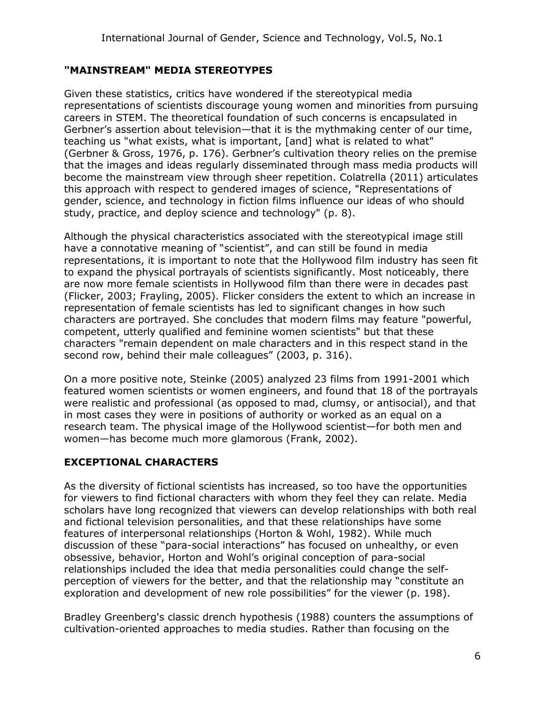## **"MAINSTREAM" MEDIA STEREOTYPES**

Given these statistics, critics have wondered if the stereotypical media representations of scientists discourage young women and minorities from pursuing careers in STEM. The theoretical foundation of such concerns is encapsulated in Gerbner's assertion about television—that it is the mythmaking center of our time, teaching us "what exists, what is important, [and] what is related to what" (Gerbner & Gross, 1976, p. 176). Gerbner's cultivation theory relies on the premise that the images and ideas regularly disseminated through mass media products will become the mainstream view through sheer repetition. Colatrella (2011) articulates this approach with respect to gendered images of science, "Representations of gender, science, and technology in fiction films influence our ideas of who should study, practice, and deploy science and technology" (p. 8).

Although the physical characteristics associated with the stereotypical image still have a connotative meaning of "scientist", and can still be found in media representations, it is important to note that the Hollywood film industry has seen fit to expand the physical portrayals of scientists significantly. Most noticeably, there are now more female scientists in Hollywood film than there were in decades past (Flicker, 2003; Frayling, 2005). Flicker considers the extent to which an increase in representation of female scientists has led to significant changes in how such characters are portrayed. She concludes that modern films may feature "powerful, competent, utterly qualified and feminine women scientists" but that these characters "remain dependent on male characters and in this respect stand in the second row, behind their male colleagues" (2003, p. 316).

On a more positive note, Steinke (2005) analyzed 23 films from 1991-2001 which featured women scientists or women engineers, and found that 18 of the portrayals were realistic and professional (as opposed to mad, clumsy, or antisocial), and that in most cases they were in positions of authority or worked as an equal on a research team. The physical image of the Hollywood scientist—for both men and women—has become much more glamorous (Frank, 2002).

## **EXCEPTIONAL CHARACTERS**

As the diversity of fictional scientists has increased, so too have the opportunities for viewers to find fictional characters with whom they feel they can relate. Media scholars have long recognized that viewers can develop relationships with both real and fictional television personalities, and that these relationships have some features of interpersonal relationships (Horton & Wohl, 1982). While much discussion of these "para-social interactions" has focused on unhealthy, or even obsessive, behavior, Horton and Wohl's original conception of para-social relationships included the idea that media personalities could change the selfperception of viewers for the better, and that the relationship may "constitute an exploration and development of new role possibilities" for the viewer (p. 198).

Bradley Greenberg's classic drench hypothesis (1988) counters the assumptions of cultivation-oriented approaches to media studies. Rather than focusing on the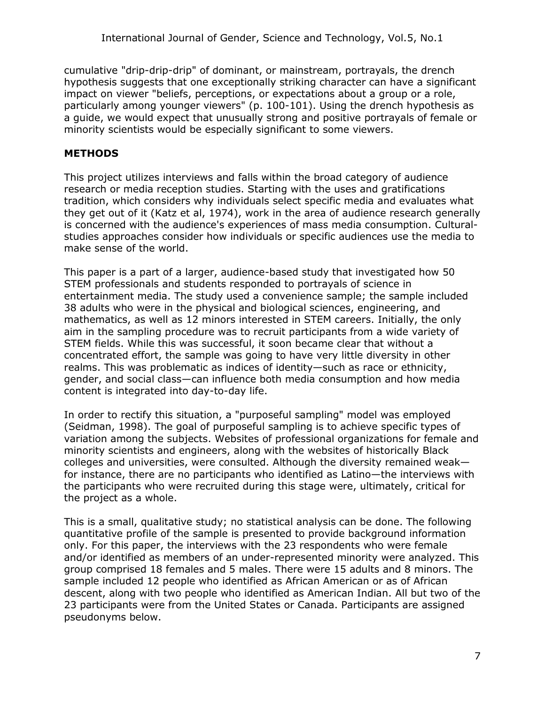cumulative "drip-drip-drip" of dominant, or mainstream, portrayals, the drench hypothesis suggests that one exceptionally striking character can have a significant impact on viewer "beliefs, perceptions, or expectations about a group or a role, particularly among younger viewers" (p. 100-101). Using the drench hypothesis as a guide, we would expect that unusually strong and positive portrayals of female or minority scientists would be especially significant to some viewers.

#### **METHODS**

This project utilizes interviews and falls within the broad category of audience research or media reception studies. Starting with the uses and gratifications tradition, which considers why individuals select specific media and evaluates what they get out of it (Katz et al, 1974), work in the area of audience research generally is concerned with the audience's experiences of mass media consumption. Culturalstudies approaches consider how individuals or specific audiences use the media to make sense of the world.

This paper is a part of a larger, audience-based study that investigated how 50 STEM professionals and students responded to portrayals of science in entertainment media. The study used a convenience sample; the sample included 38 adults who were in the physical and biological sciences, engineering, and mathematics, as well as 12 minors interested in STEM careers. Initially, the only aim in the sampling procedure was to recruit participants from a wide variety of STEM fields. While this was successful, it soon became clear that without a concentrated effort, the sample was going to have very little diversity in other realms. This was problematic as indices of identity—such as race or ethnicity, gender, and social class—can influence both media consumption and how media content is integrated into day-to-day life.

In order to rectify this situation, a "purposeful sampling" model was employed (Seidman, 1998). The goal of purposeful sampling is to achieve specific types of variation among the subjects. Websites of professional organizations for female and minority scientists and engineers, along with the websites of historically Black colleges and universities, were consulted. Although the diversity remained weak for instance, there are no participants who identified as Latino—the interviews with the participants who were recruited during this stage were, ultimately, critical for the project as a whole.

This is a small, qualitative study; no statistical analysis can be done. The following quantitative profile of the sample is presented to provide background information only. For this paper, the interviews with the 23 respondents who were female and/or identified as members of an under-represented minority were analyzed. This group comprised 18 females and 5 males. There were 15 adults and 8 minors. The sample included 12 people who identified as African American or as of African descent, along with two people who identified as American Indian. All but two of the 23 participants were from the United States or Canada. Participants are assigned pseudonyms below.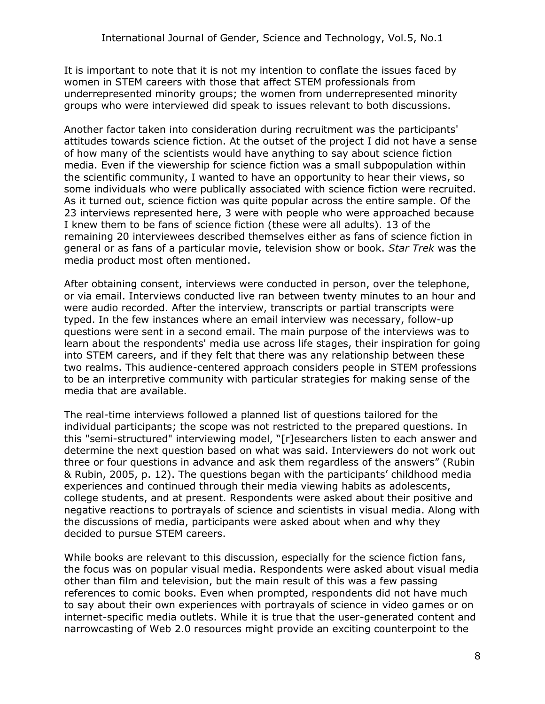It is important to note that it is not my intention to conflate the issues faced by women in STEM careers with those that affect STEM professionals from underrepresented minority groups; the women from underrepresented minority groups who were interviewed did speak to issues relevant to both discussions.

Another factor taken into consideration during recruitment was the participants' attitudes towards science fiction. At the outset of the project I did not have a sense of how many of the scientists would have anything to say about science fiction media. Even if the viewership for science fiction was a small subpopulation within the scientific community, I wanted to have an opportunity to hear their views, so some individuals who were publically associated with science fiction were recruited. As it turned out, science fiction was quite popular across the entire sample. Of the 23 interviews represented here, 3 were with people who were approached because I knew them to be fans of science fiction (these were all adults). 13 of the remaining 20 interviewees described themselves either as fans of science fiction in general or as fans of a particular movie, television show or book. *Star Trek* was the media product most often mentioned.

After obtaining consent, interviews were conducted in person, over the telephone, or via email. Interviews conducted live ran between twenty minutes to an hour and were audio recorded. After the interview, transcripts or partial transcripts were typed. In the few instances where an email interview was necessary, follow-up questions were sent in a second email. The main purpose of the interviews was to learn about the respondents' media use across life stages, their inspiration for going into STEM careers, and if they felt that there was any relationship between these two realms. This audience-centered approach considers people in STEM professions to be an interpretive community with particular strategies for making sense of the media that are available.

The real-time interviews followed a planned list of questions tailored for the individual participants; the scope was not restricted to the prepared questions. In this "semi-structured" interviewing model, "[r]esearchers listen to each answer and determine the next question based on what was said. Interviewers do not work out three or four questions in advance and ask them regardless of the answers" (Rubin & Rubin, 2005, p. 12). The questions began with the participants' childhood media experiences and continued through their media viewing habits as adolescents, college students, and at present. Respondents were asked about their positive and negative reactions to portrayals of science and scientists in visual media. Along with the discussions of media, participants were asked about when and why they decided to pursue STEM careers.

While books are relevant to this discussion, especially for the science fiction fans, the focus was on popular visual media. Respondents were asked about visual media other than film and television, but the main result of this was a few passing references to comic books. Even when prompted, respondents did not have much to say about their own experiences with portrayals of science in video games or on internet-specific media outlets. While it is true that the user-generated content and narrowcasting of Web 2.0 resources might provide an exciting counterpoint to the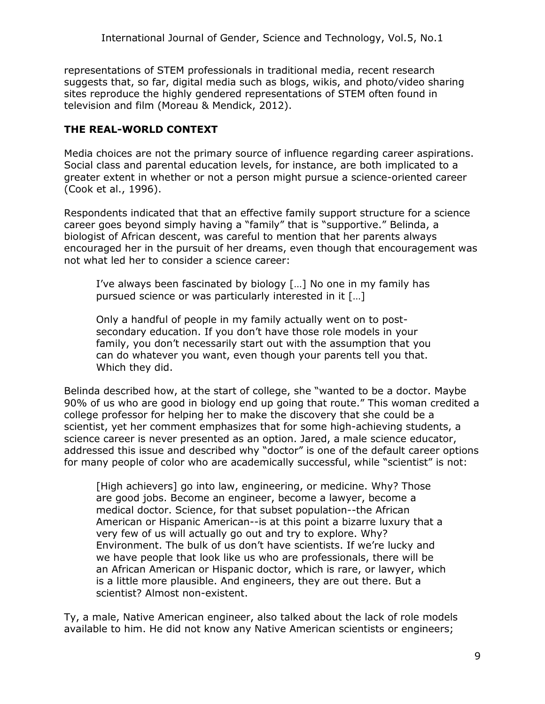representations of STEM professionals in traditional media, recent research suggests that, so far, digital media such as blogs, wikis, and photo/video sharing sites reproduce the highly gendered representations of STEM often found in television and film (Moreau & Mendick, 2012).

## **THE REAL-WORLD CONTEXT**

Media choices are not the primary source of influence regarding career aspirations. Social class and parental education levels, for instance, are both implicated to a greater extent in whether or not a person might pursue a science-oriented career (Cook et al., 1996).

Respondents indicated that that an effective family support structure for a science career goes beyond simply having a "family" that is "supportive." Belinda, a biologist of African descent, was careful to mention that her parents always encouraged her in the pursuit of her dreams, even though that encouragement was not what led her to consider a science career:

I've always been fascinated by biology […] No one in my family has pursued science or was particularly interested in it […]

Only a handful of people in my family actually went on to postsecondary education. If you don't have those role models in your family, you don't necessarily start out with the assumption that you can do whatever you want, even though your parents tell you that. Which they did.

Belinda described how, at the start of college, she "wanted to be a doctor. Maybe 90% of us who are good in biology end up going that route." This woman credited a college professor for helping her to make the discovery that she could be a scientist, yet her comment emphasizes that for some high-achieving students, a science career is never presented as an option. Jared, a male science educator, addressed this issue and described why "doctor" is one of the default career options for many people of color who are academically successful, while "scientist" is not:

[High achievers] go into law, engineering, or medicine. Why? Those are good jobs. Become an engineer, become a lawyer, become a medical doctor. Science, for that subset population--the African American or Hispanic American--is at this point a bizarre luxury that a very few of us will actually go out and try to explore. Why? Environment. The bulk of us don't have scientists. If we're lucky and we have people that look like us who are professionals, there will be an African American or Hispanic doctor, which is rare, or lawyer, which is a little more plausible. And engineers, they are out there. But a scientist? Almost non-existent.

Ty, a male, Native American engineer, also talked about the lack of role models available to him. He did not know any Native American scientists or engineers;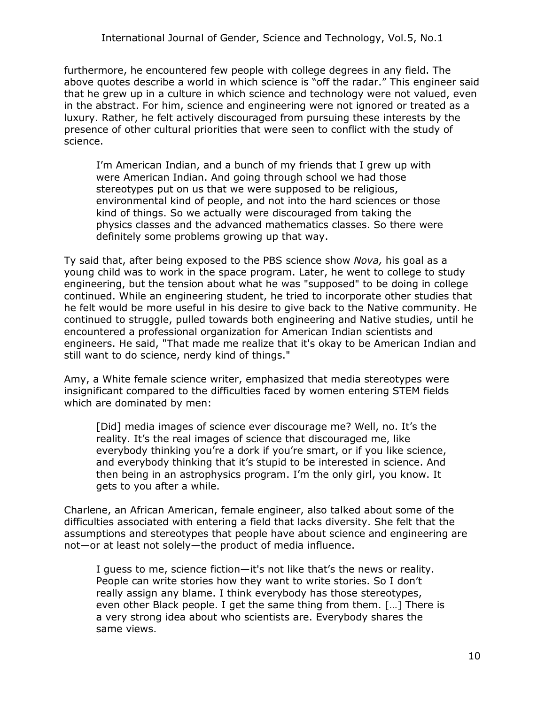furthermore, he encountered few people with college degrees in any field. The above quotes describe a world in which science is "off the radar." This engineer said that he grew up in a culture in which science and technology were not valued, even in the abstract. For him, science and engineering were not ignored or treated as a luxury. Rather, he felt actively discouraged from pursuing these interests by the presence of other cultural priorities that were seen to conflict with the study of science.

I'm American Indian, and a bunch of my friends that I grew up with were American Indian. And going through school we had those stereotypes put on us that we were supposed to be religious, environmental kind of people, and not into the hard sciences or those kind of things. So we actually were discouraged from taking the physics classes and the advanced mathematics classes. So there were definitely some problems growing up that way.

Ty said that, after being exposed to the PBS science show *Nova,* his goal as a young child was to work in the space program. Later, he went to college to study engineering, but the tension about what he was "supposed" to be doing in college continued. While an engineering student, he tried to incorporate other studies that he felt would be more useful in his desire to give back to the Native community. He continued to struggle, pulled towards both engineering and Native studies, until he encountered a professional organization for American Indian scientists and engineers. He said, "That made me realize that it's okay to be American Indian and still want to do science, nerdy kind of things."

Amy, a White female science writer, emphasized that media stereotypes were insignificant compared to the difficulties faced by women entering STEM fields which are dominated by men:

[Did] media images of science ever discourage me? Well, no. It's the reality. It's the real images of science that discouraged me, like everybody thinking you're a dork if you're smart, or if you like science, and everybody thinking that it's stupid to be interested in science. And then being in an astrophysics program. I'm the only girl, you know. It gets to you after a while.

Charlene, an African American, female engineer, also talked about some of the difficulties associated with entering a field that lacks diversity. She felt that the assumptions and stereotypes that people have about science and engineering are not—or at least not solely—the product of media influence.

I guess to me, science fiction—it's not like that's the news or reality. People can write stories how they want to write stories. So I don't really assign any blame. I think everybody has those stereotypes, even other Black people. I get the same thing from them. […] There is a very strong idea about who scientists are. Everybody shares the same views.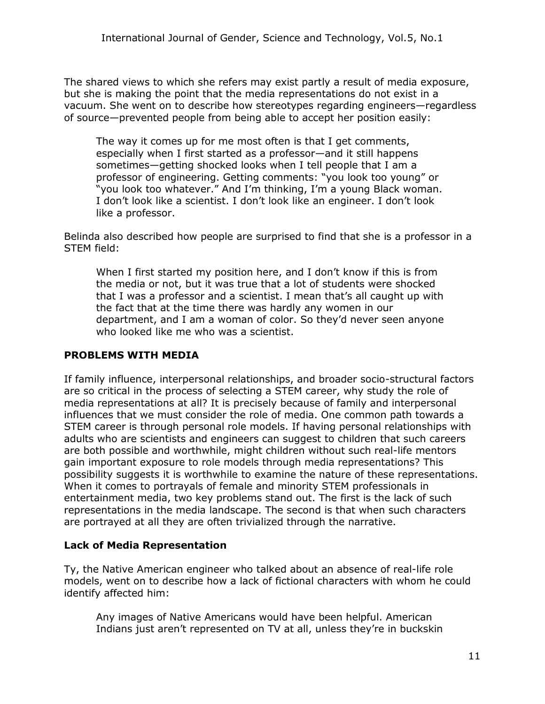The shared views to which she refers may exist partly a result of media exposure, but she is making the point that the media representations do not exist in a vacuum. She went on to describe how stereotypes regarding engineers—regardless of source—prevented people from being able to accept her position easily:

The way it comes up for me most often is that I get comments, especially when I first started as a professor—and it still happens sometimes—getting shocked looks when I tell people that I am a professor of engineering. Getting comments: "you look too young" or "you look too whatever." And I'm thinking, I'm a young Black woman. I don't look like a scientist. I don't look like an engineer. I don't look like a professor.

Belinda also described how people are surprised to find that she is a professor in a STEM field:

When I first started my position here, and I don't know if this is from the media or not, but it was true that a lot of students were shocked that I was a professor and a scientist. I mean that's all caught up with the fact that at the time there was hardly any women in our department, and I am a woman of color. So they'd never seen anyone who looked like me who was a scientist.

#### **PROBLEMS WITH MEDIA**

If family influence, interpersonal relationships, and broader socio-structural factors are so critical in the process of selecting a STEM career, why study the role of media representations at all? It is precisely because of family and interpersonal influences that we must consider the role of media. One common path towards a STEM career is through personal role models. If having personal relationships with adults who are scientists and engineers can suggest to children that such careers are both possible and worthwhile, might children without such real-life mentors gain important exposure to role models through media representations? This possibility suggests it is worthwhile to examine the nature of these representations. When it comes to portrayals of female and minority STEM professionals in entertainment media, two key problems stand out. The first is the lack of such representations in the media landscape. The second is that when such characters are portrayed at all they are often trivialized through the narrative.

## **Lack of Media Representation**

Ty, the Native American engineer who talked about an absence of real-life role models, went on to describe how a lack of fictional characters with whom he could identify affected him:

Any images of Native Americans would have been helpful. American Indians just aren't represented on TV at all, unless they're in buckskin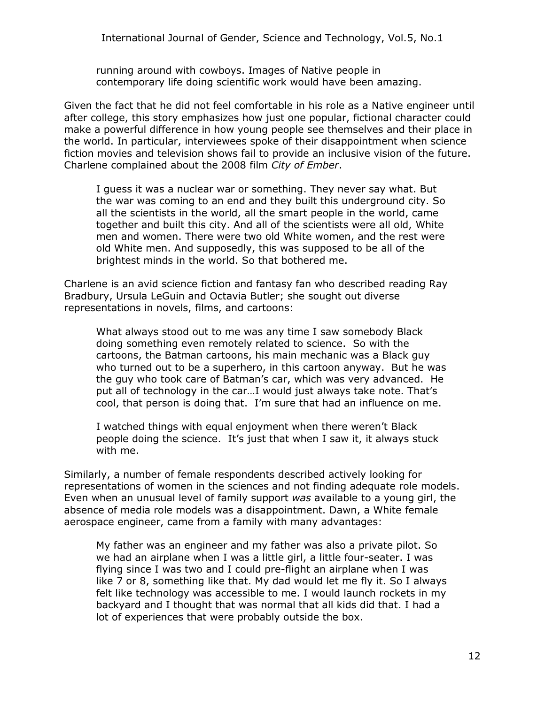running around with cowboys. Images of Native people in contemporary life doing scientific work would have been amazing.

Given the fact that he did not feel comfortable in his role as a Native engineer until after college, this story emphasizes how just one popular, fictional character could make a powerful difference in how young people see themselves and their place in the world. In particular, interviewees spoke of their disappointment when science fiction movies and television shows fail to provide an inclusive vision of the future. Charlene complained about the 2008 film *City of Ember*.

I guess it was a nuclear war or something. They never say what. But the war was coming to an end and they built this underground city. So all the scientists in the world, all the smart people in the world, came together and built this city. And all of the scientists were all old, White men and women. There were two old White women, and the rest were old White men. And supposedly, this was supposed to be all of the brightest minds in the world. So that bothered me.

Charlene is an avid science fiction and fantasy fan who described reading Ray Bradbury, Ursula LeGuin and Octavia Butler; she sought out diverse representations in novels, films, and cartoons:

What always stood out to me was any time I saw somebody Black doing something even remotely related to science. So with the cartoons, the Batman cartoons, his main mechanic was a Black guy who turned out to be a superhero, in this cartoon anyway. But he was the guy who took care of Batman's car, which was very advanced. He put all of technology in the car…I would just always take note. That's cool, that person is doing that. I'm sure that had an influence on me.

I watched things with equal enjoyment when there weren't Black people doing the science. It's just that when I saw it, it always stuck with me.

Similarly, a number of female respondents described actively looking for representations of women in the sciences and not finding adequate role models. Even when an unusual level of family support *was* available to a young girl, the absence of media role models was a disappointment. Dawn, a White female aerospace engineer, came from a family with many advantages:

My father was an engineer and my father was also a private pilot. So we had an airplane when I was a little girl, a little four-seater. I was flying since I was two and I could pre-flight an airplane when I was like 7 or 8, something like that. My dad would let me fly it. So I always felt like technology was accessible to me. I would launch rockets in my backyard and I thought that was normal that all kids did that. I had a lot of experiences that were probably outside the box.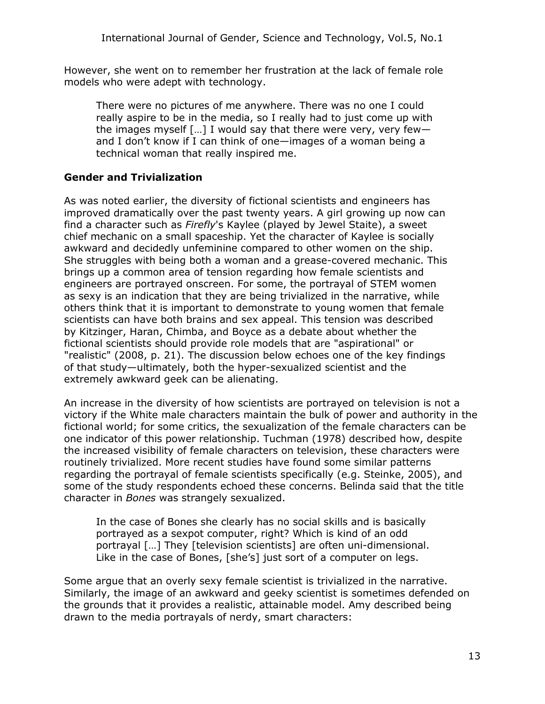However, she went on to remember her frustration at the lack of female role models who were adept with technology.

There were no pictures of me anywhere. There was no one I could really aspire to be in the media, so I really had to just come up with the images myself  $\left[\ldots\right]$  I would say that there were very, very fewand I don't know if I can think of one—images of a woman being a technical woman that really inspired me.

#### **Gender and Trivialization**

As was noted earlier, the diversity of fictional scientists and engineers has improved dramatically over the past twenty years. A girl growing up now can find a character such as *Firefly*'s Kaylee (played by Jewel Staite), a sweet chief mechanic on a small spaceship. Yet the character of Kaylee is socially awkward and decidedly unfeminine compared to other women on the ship. She struggles with being both a woman and a grease-covered mechanic. This brings up a common area of tension regarding how female scientists and engineers are portrayed onscreen. For some, the portrayal of STEM women as sexy is an indication that they are being trivialized in the narrative, while others think that it is important to demonstrate to young women that female scientists can have both brains and sex appeal. This tension was described by Kitzinger, Haran, Chimba, and Boyce as a debate about whether the fictional scientists should provide role models that are "aspirational" or "realistic" (2008, p. 21). The discussion below echoes one of the key findings of that study—ultimately, both the hyper-sexualized scientist and the extremely awkward geek can be alienating.

An increase in the diversity of how scientists are portrayed on television is not a victory if the White male characters maintain the bulk of power and authority in the fictional world; for some critics, the sexualization of the female characters can be one indicator of this power relationship. Tuchman (1978) described how, despite the increased visibility of female characters on television, these characters were routinely trivialized. More recent studies have found some similar patterns regarding the portrayal of female scientists specifically (e.g. Steinke, 2005), and some of the study respondents echoed these concerns. Belinda said that the title character in *Bones* was strangely sexualized.

In the case of Bones she clearly has no social skills and is basically portrayed as a sexpot computer, right? Which is kind of an odd portrayal […] They [television scientists] are often uni-dimensional. Like in the case of Bones, [she's] just sort of a computer on legs.

Some argue that an overly sexy female scientist is trivialized in the narrative. Similarly, the image of an awkward and geeky scientist is sometimes defended on the grounds that it provides a realistic, attainable model. Amy described being drawn to the media portrayals of nerdy, smart characters: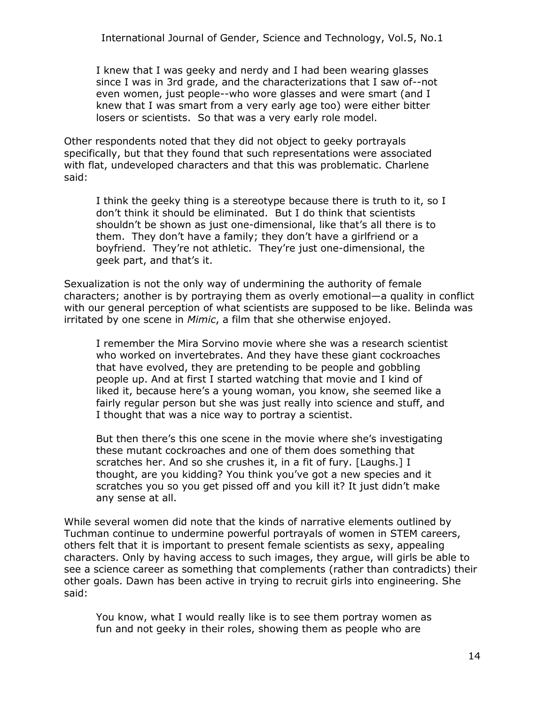I knew that I was geeky and nerdy and I had been wearing glasses since I was in 3rd grade, and the characterizations that I saw of--not even women, just people--who wore glasses and were smart (and I knew that I was smart from a very early age too) were either bitter losers or scientists. So that was a very early role model.

Other respondents noted that they did not object to geeky portrayals specifically, but that they found that such representations were associated with flat, undeveloped characters and that this was problematic. Charlene said:

I think the geeky thing is a stereotype because there is truth to it, so I don't think it should be eliminated. But I do think that scientists shouldn't be shown as just one-dimensional, like that's all there is to them. They don't have a family; they don't have a girlfriend or a boyfriend. They're not athletic. They're just one-dimensional, the geek part, and that's it.

Sexualization is not the only way of undermining the authority of female characters; another is by portraying them as overly emotional—a quality in conflict with our general perception of what scientists are supposed to be like. Belinda was irritated by one scene in *Mimic*, a film that she otherwise enjoyed.

I remember the Mira Sorvino movie where she was a research scientist who worked on invertebrates. And they have these giant cockroaches that have evolved, they are pretending to be people and gobbling people up. And at first I started watching that movie and I kind of liked it, because here's a young woman, you know, she seemed like a fairly regular person but she was just really into science and stuff, and I thought that was a nice way to portray a scientist.

But then there's this one scene in the movie where she's investigating these mutant cockroaches and one of them does something that scratches her. And so she crushes it, in a fit of fury. [Laughs.] I thought, are you kidding? You think you've got a new species and it scratches you so you get pissed off and you kill it? It just didn't make any sense at all.

While several women did note that the kinds of narrative elements outlined by Tuchman continue to undermine powerful portrayals of women in STEM careers, others felt that it is important to present female scientists as sexy, appealing characters. Only by having access to such images, they argue, will girls be able to see a science career as something that complements (rather than contradicts) their other goals. Dawn has been active in trying to recruit girls into engineering. She said:

You know, what I would really like is to see them portray women as fun and not geeky in their roles, showing them as people who are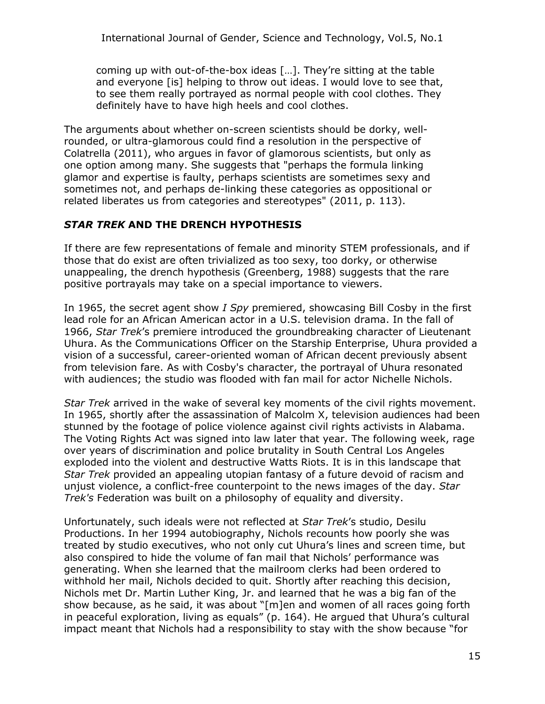coming up with out-of-the-box ideas […]. They're sitting at the table and everyone [is] helping to throw out ideas. I would love to see that, to see them really portrayed as normal people with cool clothes. They definitely have to have high heels and cool clothes.

The arguments about whether on-screen scientists should be dorky, wellrounded, or ultra-glamorous could find a resolution in the perspective of Colatrella (2011), who argues in favor of glamorous scientists, but only as one option among many. She suggests that "perhaps the formula linking glamor and expertise is faulty, perhaps scientists are sometimes sexy and sometimes not, and perhaps de-linking these categories as oppositional or related liberates us from categories and stereotypes" (2011, p. 113).

## *STAR TREK* **AND THE DRENCH HYPOTHESIS**

If there are few representations of female and minority STEM professionals, and if those that do exist are often trivialized as too sexy, too dorky, or otherwise unappealing, the drench hypothesis (Greenberg, 1988) suggests that the rare positive portrayals may take on a special importance to viewers.

In 1965, the secret agent show *I Spy* premiered, showcasing Bill Cosby in the first lead role for an African American actor in a U.S. television drama. In the fall of 1966, *Star Trek*'s premiere introduced the groundbreaking character of Lieutenant Uhura. As the Communications Officer on the Starship Enterprise, Uhura provided a vision of a successful, career-oriented woman of African decent previously absent from television fare. As with Cosby's character, the portrayal of Uhura resonated with audiences; the studio was flooded with fan mail for actor Nichelle Nichols.

*Star Trek* arrived in the wake of several key moments of the civil rights movement. In 1965, shortly after the assassination of Malcolm X, television audiences had been stunned by the footage of police violence against civil rights activists in Alabama. The Voting Rights Act was signed into law later that year. The following week, rage over years of discrimination and police brutality in South Central Los Angeles exploded into the violent and destructive Watts Riots. It is in this landscape that *Star Trek* provided an appealing utopian fantasy of a future devoid of racism and unjust violence, a conflict-free counterpoint to the news images of the day. *Star Trek's* Federation was built on a philosophy of equality and diversity.

Unfortunately, such ideals were not reflected at *Star Trek*'s studio, Desilu Productions. In her 1994 autobiography, Nichols recounts how poorly she was treated by studio executives, who not only cut Uhura's lines and screen time, but also conspired to hide the volume of fan mail that Nichols' performance was generating. When she learned that the mailroom clerks had been ordered to withhold her mail, Nichols decided to quit. Shortly after reaching this decision, Nichols met Dr. Martin Luther King, Jr. and learned that he was a big fan of the show because, as he said, it was about "[m]en and women of all races going forth in peaceful exploration, living as equals" (p. 164). He argued that Uhura's cultural impact meant that Nichols had a responsibility to stay with the show because "for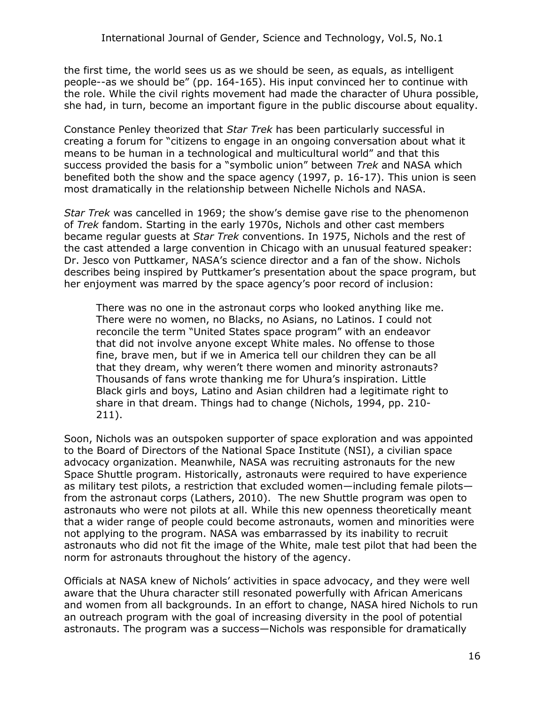the first time, the world sees us as we should be seen, as equals, as intelligent people--as we should be" (pp. 164-165). His input convinced her to continue with the role. While the civil rights movement had made the character of Uhura possible, she had, in turn, become an important figure in the public discourse about equality.

Constance Penley theorized that *Star Trek* has been particularly successful in creating a forum for "citizens to engage in an ongoing conversation about what it means to be human in a technological and multicultural world" and that this success provided the basis for a "symbolic union" between *Trek* and NASA which benefited both the show and the space agency (1997, p. 16-17). This union is seen most dramatically in the relationship between Nichelle Nichols and NASA.

*Star Trek* was cancelled in 1969; the show's demise gave rise to the phenomenon of *Trek* fandom. Starting in the early 1970s, Nichols and other cast members became regular guests at *Star Trek* conventions. In 1975, Nichols and the rest of the cast attended a large convention in Chicago with an unusual featured speaker: Dr. Jesco von Puttkamer, NASA's science director and a fan of the show. Nichols describes being inspired by Puttkamer's presentation about the space program, but her enjoyment was marred by the space agency's poor record of inclusion:

There was no one in the astronaut corps who looked anything like me. There were no women, no Blacks, no Asians, no Latinos. I could not reconcile the term "United States space program" with an endeavor that did not involve anyone except White males. No offense to those fine, brave men, but if we in America tell our children they can be all that they dream, why weren't there women and minority astronauts? Thousands of fans wrote thanking me for Uhura's inspiration. Little Black girls and boys, Latino and Asian children had a legitimate right to share in that dream. Things had to change (Nichols, 1994, pp. 210- 211).

Soon, Nichols was an outspoken supporter of space exploration and was appointed to the Board of Directors of the National Space Institute (NSI), a civilian space advocacy organization. Meanwhile, NASA was recruiting astronauts for the new Space Shuttle program. Historically, astronauts were required to have experience as military test pilots, a restriction that excluded women—including female pilots from the astronaut corps (Lathers, 2010). The new Shuttle program was open to astronauts who were not pilots at all. While this new openness theoretically meant that a wider range of people could become astronauts, women and minorities were not applying to the program. NASA was embarrassed by its inability to recruit astronauts who did not fit the image of the White, male test pilot that had been the norm for astronauts throughout the history of the agency.

Officials at NASA knew of Nichols' activities in space advocacy, and they were well aware that the Uhura character still resonated powerfully with African Americans and women from all backgrounds. In an effort to change, NASA hired Nichols to run an outreach program with the goal of increasing diversity in the pool of potential astronauts. The program was a success—Nichols was responsible for dramatically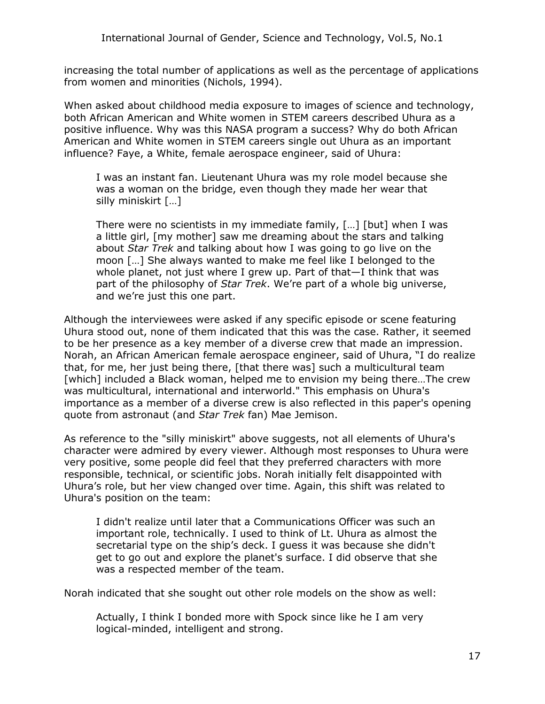increasing the total number of applications as well as the percentage of applications from women and minorities (Nichols, 1994).

When asked about childhood media exposure to images of science and technology, both African American and White women in STEM careers described Uhura as a positive influence. Why was this NASA program a success? Why do both African American and White women in STEM careers single out Uhura as an important influence? Faye, a White, female aerospace engineer, said of Uhura:

I was an instant fan. Lieutenant Uhura was my role model because she was a woman on the bridge, even though they made her wear that silly miniskirt […]

There were no scientists in my immediate family, […] [but] when I was a little girl, [my mother] saw me dreaming about the stars and talking about *Star Trek* and talking about how I was going to go live on the moon […] She always wanted to make me feel like I belonged to the whole planet, not just where I grew up. Part of that—I think that was part of the philosophy of *Star Trek*. We're part of a whole big universe, and we're just this one part.

Although the interviewees were asked if any specific episode or scene featuring Uhura stood out, none of them indicated that this was the case. Rather, it seemed to be her presence as a key member of a diverse crew that made an impression. Norah, an African American female aerospace engineer, said of Uhura, "I do realize that, for me, her just being there, [that there was] such a multicultural team [which] included a Black woman, helped me to envision my being there…The crew was multicultural, international and interworld." This emphasis on Uhura's importance as a member of a diverse crew is also reflected in this paper's opening quote from astronaut (and *Star Trek* fan) Mae Jemison.

As reference to the "silly miniskirt" above suggests, not all elements of Uhura's character were admired by every viewer. Although most responses to Uhura were very positive, some people did feel that they preferred characters with more responsible, technical, or scientific jobs. Norah initially felt disappointed with Uhura's role, but her view changed over time. Again, this shift was related to Uhura's position on the team:

I didn't realize until later that a Communications Officer was such an important role, technically. I used to think of Lt. Uhura as almost the secretarial type on the ship's deck. I guess it was because she didn't get to go out and explore the planet's surface. I did observe that she was a respected member of the team.

Norah indicated that she sought out other role models on the show as well:

Actually, I think I bonded more with Spock since like he I am very logical-minded, intelligent and strong.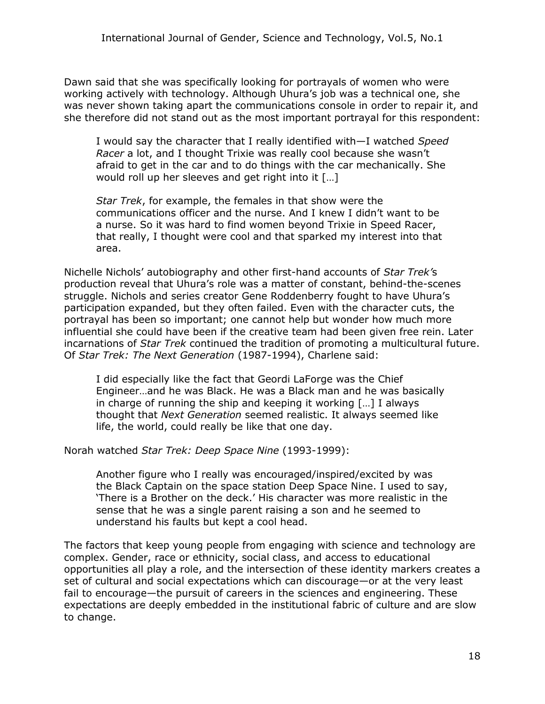Dawn said that she was specifically looking for portrayals of women who were working actively with technology. Although Uhura's job was a technical one, she was never shown taking apart the communications console in order to repair it, and she therefore did not stand out as the most important portrayal for this respondent:

I would say the character that I really identified with—I watched *Speed Racer* a lot, and I thought Trixie was really cool because she wasn't afraid to get in the car and to do things with the car mechanically. She would roll up her sleeves and get right into it […]

*Star Trek*, for example, the females in that show were the communications officer and the nurse. And I knew I didn't want to be a nurse. So it was hard to find women beyond Trixie in Speed Racer, that really, I thought were cool and that sparked my interest into that area.

Nichelle Nichols' autobiography and other first-hand accounts of *Star Trek'*s production reveal that Uhura's role was a matter of constant, behind-the-scenes struggle. Nichols and series creator Gene Roddenberry fought to have Uhura's participation expanded, but they often failed. Even with the character cuts, the portrayal has been so important; one cannot help but wonder how much more influential she could have been if the creative team had been given free rein. Later incarnations of *Star Trek* continued the tradition of promoting a multicultural future. Of *Star Trek: The Next Generation* (1987-1994), Charlene said:

I did especially like the fact that Geordi LaForge was the Chief Engineer…and he was Black. He was a Black man and he was basically in charge of running the ship and keeping it working […] I always thought that *Next Generation* seemed realistic. It always seemed like life, the world, could really be like that one day.

Norah watched *Star Trek: Deep Space Nine* (1993-1999):

Another figure who I really was encouraged/inspired/excited by was the Black Captain on the space station Deep Space Nine. I used to say, 'There is a Brother on the deck.' His character was more realistic in the sense that he was a single parent raising a son and he seemed to understand his faults but kept a cool head.

The factors that keep young people from engaging with science and technology are complex. Gender, race or ethnicity, social class, and access to educational opportunities all play a role, and the intersection of these identity markers creates a set of cultural and social expectations which can discourage—or at the very least fail to encourage—the pursuit of careers in the sciences and engineering. These expectations are deeply embedded in the institutional fabric of culture and are slow to change.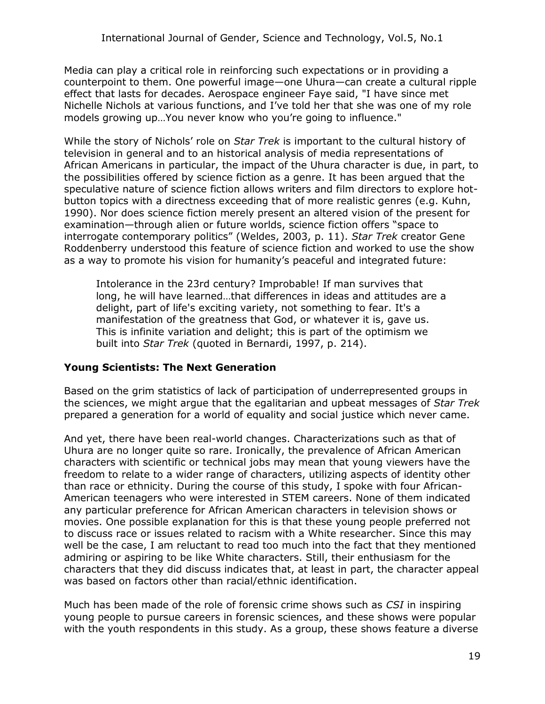Media can play a critical role in reinforcing such expectations or in providing a counterpoint to them. One powerful image—one Uhura—can create a cultural ripple effect that lasts for decades. Aerospace engineer Faye said, "I have since met Nichelle Nichols at various functions, and I've told her that she was one of my role models growing up…You never know who you're going to influence."

While the story of Nichols' role on *Star Trek* is important to the cultural history of television in general and to an historical analysis of media representations of African Americans in particular, the impact of the Uhura character is due, in part, to the possibilities offered by science fiction as a genre. It has been argued that the speculative nature of science fiction allows writers and film directors to explore hotbutton topics with a directness exceeding that of more realistic genres (e.g. Kuhn, 1990). Nor does science fiction merely present an altered vision of the present for examination—through alien or future worlds, science fiction offers "space to interrogate contemporary politics" (Weldes, 2003, p. 11). *Star Trek* creator Gene Roddenberry understood this feature of science fiction and worked to use the show as a way to promote his vision for humanity's peaceful and integrated future:

Intolerance in the 23rd century? Improbable! If man survives that long, he will have learned…that differences in ideas and attitudes are a delight, part of life's exciting variety, not something to fear. It's a manifestation of the greatness that God, or whatever it is, gave us. This is infinite variation and delight; this is part of the optimism we built into *Star Trek* (quoted in Bernardi, 1997, p. 214).

#### **Young Scientists: The Next Generation**

Based on the grim statistics of lack of participation of underrepresented groups in the sciences, we might argue that the egalitarian and upbeat messages of *Star Trek* prepared a generation for a world of equality and social justice which never came.

And yet, there have been real-world changes. Characterizations such as that of Uhura are no longer quite so rare. Ironically, the prevalence of African American characters with scientific or technical jobs may mean that young viewers have the freedom to relate to a wider range of characters, utilizing aspects of identity other than race or ethnicity. During the course of this study, I spoke with four African-American teenagers who were interested in STEM careers. None of them indicated any particular preference for African American characters in television shows or movies. One possible explanation for this is that these young people preferred not to discuss race or issues related to racism with a White researcher. Since this may well be the case, I am reluctant to read too much into the fact that they mentioned admiring or aspiring to be like White characters. Still, their enthusiasm for the characters that they did discuss indicates that, at least in part, the character appeal was based on factors other than racial/ethnic identification.

Much has been made of the role of forensic crime shows such as *CSI* in inspiring young people to pursue careers in forensic sciences, and these shows were popular with the youth respondents in this study. As a group, these shows feature a diverse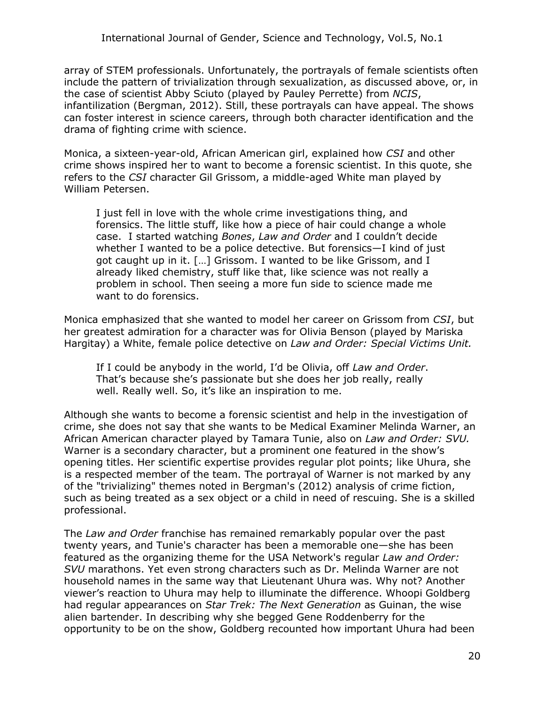array of STEM professionals. Unfortunately, the portrayals of female scientists often include the pattern of trivialization through sexualization, as discussed above, or, in the case of scientist Abby Sciuto (played by Pauley Perrette) from *NCIS*, infantilization (Bergman, 2012). Still, these portrayals can have appeal. The shows can foster interest in science careers, through both character identification and the drama of fighting crime with science.

Monica, a sixteen-year-old, African American girl, explained how *CSI* and other crime shows inspired her to want to become a forensic scientist. In this quote, she refers to the *CSI* character Gil Grissom, a middle-aged White man played by William Petersen.

I just fell in love with the whole crime investigations thing, and forensics. The little stuff, like how a piece of hair could change a whole case. I started watching *Bones*, *Law and Order* and I couldn't decide whether I wanted to be a police detective. But forensics—I kind of just got caught up in it. […] Grissom. I wanted to be like Grissom, and I already liked chemistry, stuff like that, like science was not really a problem in school. Then seeing a more fun side to science made me want to do forensics.

Monica emphasized that she wanted to model her career on Grissom from *CSI*, but her greatest admiration for a character was for Olivia Benson (played by Mariska Hargitay) a White, female police detective on *Law and Order: Special Victims Unit.* 

If I could be anybody in the world, I'd be Olivia, off *Law and Order*. That's because she's passionate but she does her job really, really well. Really well. So, it's like an inspiration to me.

Although she wants to become a forensic scientist and help in the investigation of crime, she does not say that she wants to be Medical Examiner Melinda Warner, an African American character played by Tamara Tunie, also on *Law and Order: SVU.* Warner is a secondary character, but a prominent one featured in the show's opening titles. Her scientific expertise provides regular plot points; like Uhura, she is a respected member of the team. The portrayal of Warner is not marked by any of the "trivializing" themes noted in Bergman's (2012) analysis of crime fiction, such as being treated as a sex object or a child in need of rescuing. She is a skilled professional.

The *Law and Order* franchise has remained remarkably popular over the past twenty years, and Tunie's character has been a memorable one—she has been featured as the organizing theme for the USA Network's regular *Law and Order: SVU* marathons. Yet even strong characters such as Dr. Melinda Warner are not household names in the same way that Lieutenant Uhura was. Why not? Another viewer's reaction to Uhura may help to illuminate the difference. Whoopi Goldberg had regular appearances on *Star Trek: The Next Generation* as Guinan, the wise alien bartender. In describing why she begged Gene Roddenberry for the opportunity to be on the show, Goldberg recounted how important Uhura had been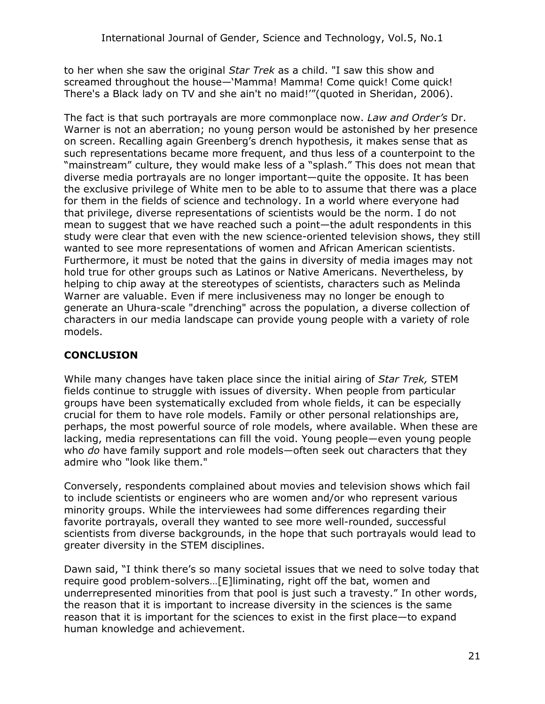to her when she saw the original *Star Trek* as a child. "I saw this show and screamed throughout the house—'Mamma! Mamma! Come quick! Come quick! There's a Black lady on TV and she ain't no maid!'"(quoted in Sheridan, 2006).

The fact is that such portrayals are more commonplace now. *Law and Order's* Dr. Warner is not an aberration; no young person would be astonished by her presence on screen. Recalling again Greenberg's drench hypothesis, it makes sense that as such representations became more frequent, and thus less of a counterpoint to the "mainstream" culture, they would make less of a "splash." This does not mean that diverse media portrayals are no longer important—quite the opposite. It has been the exclusive privilege of White men to be able to to assume that there was a place for them in the fields of science and technology. In a world where everyone had that privilege, diverse representations of scientists would be the norm. I do not mean to suggest that we have reached such a point—the adult respondents in this study were clear that even with the new science-oriented television shows, they still wanted to see more representations of women and African American scientists. Furthermore, it must be noted that the gains in diversity of media images may not hold true for other groups such as Latinos or Native Americans. Nevertheless, by helping to chip away at the stereotypes of scientists, characters such as Melinda Warner are valuable. Even if mere inclusiveness may no longer be enough to generate an Uhura-scale "drenching" across the population, a diverse collection of characters in our media landscape can provide young people with a variety of role models.

## **CONCLUSION**

While many changes have taken place since the initial airing of *Star Trek,* STEM fields continue to struggle with issues of diversity. When people from particular groups have been systematically excluded from whole fields, it can be especially crucial for them to have role models. Family or other personal relationships are, perhaps, the most powerful source of role models, where available. When these are lacking, media representations can fill the void. Young people—even young people who *do* have family support and role models—often seek out characters that they admire who "look like them."

Conversely, respondents complained about movies and television shows which fail to include scientists or engineers who are women and/or who represent various minority groups. While the interviewees had some differences regarding their favorite portrayals, overall they wanted to see more well-rounded, successful scientists from diverse backgrounds, in the hope that such portrayals would lead to greater diversity in the STEM disciplines.

Dawn said, "I think there's so many societal issues that we need to solve today that require good problem-solvers…[E]liminating, right off the bat, women and underrepresented minorities from that pool is just such a travesty." In other words, the reason that it is important to increase diversity in the sciences is the same reason that it is important for the sciences to exist in the first place—to expand human knowledge and achievement.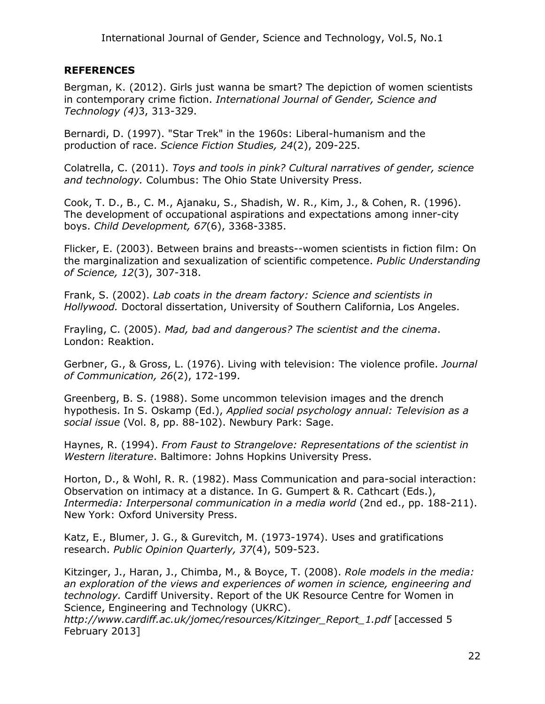#### **REFERENCES**

Bergman, K. (2012). Girls just wanna be smart? The depiction of women scientists in contemporary crime fiction. *International Journal of Gender, Science and Technology (4)*3, 313-329.

Bernardi, D. (1997). "Star Trek" in the 1960s: Liberal-humanism and the production of race. *Science Fiction Studies, 24*(2), 209-225.

Colatrella, C. (2011). *Toys and tools in pink? Cultural narratives of gender, science and technology.* Columbus: The Ohio State University Press.

Cook, T. D., B., C. M., Ajanaku, S., Shadish, W. R., Kim, J., & Cohen, R. (1996). The development of occupational aspirations and expectations among inner-city boys. *Child Development, 67*(6), 3368-3385.

Flicker, E. (2003). Between brains and breasts--women scientists in fiction film: On the marginalization and sexualization of scientific competence. *Public Understanding of Science, 12*(3), 307-318.

Frank, S. (2002). *Lab coats in the dream factory: Science and scientists in Hollywood.* Doctoral dissertation, University of Southern California, Los Angeles.

Frayling, C. (2005). *Mad, bad and dangerous? The scientist and the cinema*. London: Reaktion.

Gerbner, G., & Gross, L. (1976). Living with television: The violence profile. *Journal of Communication, 26*(2), 172-199.

Greenberg, B. S. (1988). Some uncommon television images and the drench hypothesis. In S. Oskamp (Ed.), *Applied social psychology annual: Television as a social issue* (Vol. 8, pp. 88-102). Newbury Park: Sage.

Haynes, R. (1994). *From Faust to Strangelove: Representations of the scientist in Western literature*. Baltimore: Johns Hopkins University Press.

Horton, D., & Wohl, R. R. (1982). Mass Communication and para-social interaction: Observation on intimacy at a distance. In G. Gumpert & R. Cathcart (Eds.), *Intermedia: Interpersonal communication in a media world* (2nd ed., pp. 188-211). New York: Oxford University Press.

Katz, E., Blumer, J. G., & Gurevitch, M. (1973-1974). Uses and gratifications research. *Public Opinion Quarterly, 37*(4), 509-523.

Kitzinger, J., Haran, J., Chimba, M., & Boyce, T. (2008). *Role models in the media: an exploration of the views and experiences of women in science, engineering and technology.* Cardiff University. Report of the UK Resource Centre for Women in Science, Engineering and Technology (UKRC).

*http://www.cardiff.ac.uk/jomec/resources/Kitzinger\_Report\_1.pdf* [accessed 5 February 2013]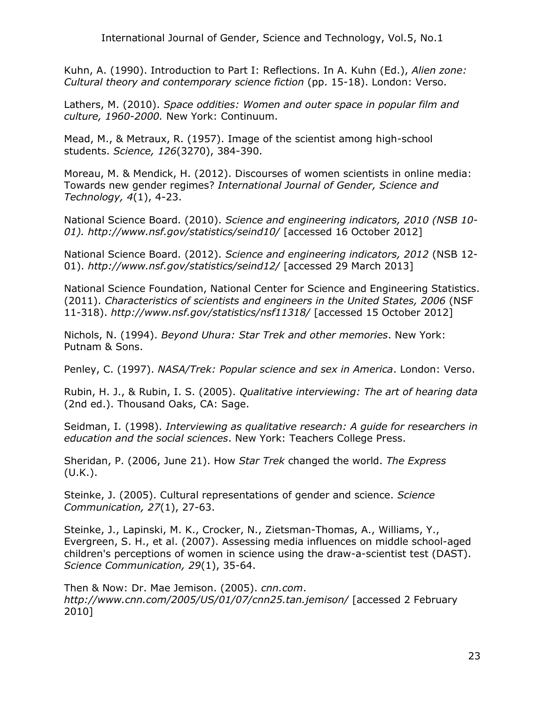Kuhn, A. (1990). Introduction to Part I: Reflections. In A. Kuhn (Ed.), *Alien zone: Cultural theory and contemporary science fiction* (pp. 15-18). London: Verso.

Lathers, M. (2010). *Space oddities: Women and outer space in popular film and culture, 1960-2000.* New York: Continuum.

Mead, M., & Metraux, R. (1957). Image of the scientist among high-school students. *Science, 126*(3270), 384-390.

Moreau, M. & Mendick, H. (2012). Discourses of women scientists in online media: Towards new gender regimes? *International Journal of Gender, Science and Technology, 4*(1), 4-23.

National Science Board. (2010). *Science and engineering indicators, 2010 (NSB 10- 01). http://www.nsf.gov/statistics/seind10/* [accessed 16 October 2012]

National Science Board. (2012). *Science and engineering indicators, 2012* (NSB 12- 01). *http://www.nsf.gov/statistics/seind12/* [accessed 29 March 2013]

National Science Foundation, National Center for Science and Engineering Statistics. (2011). *Characteristics of scientists and engineers in the United States, 2006* (NSF 11-318). *http://www.nsf.gov/statistics/nsf11318/* [accessed 15 October 2012]

Nichols, N. (1994). *Beyond Uhura: Star Trek and other memories*. New York: Putnam & Sons.

Penley, C. (1997). *NASA/Trek: Popular science and sex in America*. London: Verso.

Rubin, H. J., & Rubin, I. S. (2005). *Qualitative interviewing: The art of hearing data* (2nd ed.). Thousand Oaks, CA: Sage.

Seidman, I. (1998). *Interviewing as qualitative research: A guide for researchers in education and the social sciences*. New York: Teachers College Press.

Sheridan, P. (2006, June 21). How *Star Trek* changed the world. *The Express*  (U.K.).

Steinke, J. (2005). Cultural representations of gender and science. *Science Communication, 27*(1), 27-63.

Steinke, J., Lapinski, M. K., Crocker, N., Zietsman-Thomas, A., Williams, Y., Evergreen, S. H., et al. (2007). Assessing media influences on middle school-aged children's perceptions of women in science using the draw-a-scientist test (DAST). *Science Communication, 29*(1), 35-64.

Then & Now: Dr. Mae Jemison. (2005). *cnn.com*. *http://www.cnn.com/2005/US/01/07/cnn25.tan.jemison/* [accessed 2 February 2010]